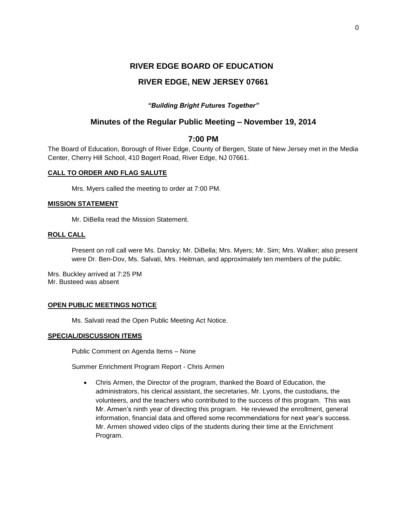# **RIVER EDGE BOARD OF EDUCATION**

# **RIVER EDGE, NEW JERSEY 07661**

# *"Building Bright Futures Together"*

# **Minutes of the Regular Public Meeting – November 19, 2014**

# **7:00 PM**

The Board of Education, Borough of River Edge, County of Bergen, State of New Jersey met in the Media Center, Cherry Hill School, 410 Bogert Road, River Edge, NJ 07661.

# **CALL TO ORDER AND FLAG SALUTE**

Mrs. Myers called the meeting to order at 7:00 PM.

## **MISSION STATEMENT**

Mr. DiBella read the Mission Statement.

### **ROLL CALL**

Present on roll call were Ms. Dansky; Mr. DiBella; Mrs. Myers; Mr. Sim; Mrs. Walker; also present were Dr. Ben-Dov, Ms. Salvati, Mrs. Heitman, and approximately ten members of the public.

Mrs. Buckley arrived at 7:25 PM Mr. Busteed was absent

## **OPEN PUBLIC MEETINGS NOTICE**

Ms. Salvati read the Open Public Meeting Act Notice.

## **SPECIAL/DISCUSSION ITEMS**

Public Comment on Agenda Items – None

Summer Enrichment Program Report - Chris Armen

 Chris Armen, the Director of the program, thanked the Board of Education, the administrators, his clerical assistant, the secretaries, Mr. Lyons, the custodians, the volunteers, and the teachers who contributed to the success of this program. This was Mr. Armen's ninth year of directing this program. He reviewed the enrollment, general information, financial data and offered some recommendations for next year's success. Mr. Armen showed video clips of the students during their time at the Enrichment Program.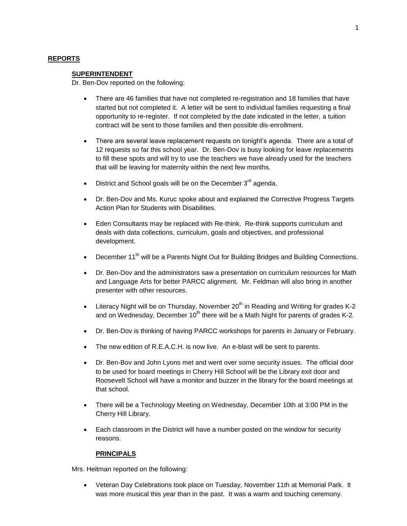#### **REPORTS**

#### **SUPERINTENDENT**

Dr. Ben-Dov reported on the following:

- There are 46 families that have not completed re-registration and 18 families that have started but not completed it. A letter will be sent to individual families requesting a final opportunity to re-register. If not completed by the date indicated in the letter, a tuition contract will be sent to those families and then possible dis-enrollment.
- There are several leave replacement requests on tonight's agenda. There are a total of 12 requests so far this school year. Dr. Ben-Dov is busy looking for leave replacements to fill these spots and will try to use the teachers we have already used for the teachers that will be leaving for maternity within the next few months.
- District and School goals will be on the December 3<sup>rd</sup> agenda.
- Dr. Ben-Dov and Ms. Kuruc spoke about and explained the Corrective Progress Targets Action Plan for Students with Disabilities.
- Eden Consultants may be replaced with Re-think. Re-think supports curriculum and deals with data collections, curriculum, goals and objectives, and professional development.
- **•** December 11<sup>th</sup> will be a Parents Night Out for Building Bridges and Building Connections.
- Dr. Ben-Dov and the administrators saw a presentation on curriculum resources for Math and Language Arts for better PARCC alignment. Mr. Feldman will also bring in another presenter with other resources.
- **Literacy Night will be on Thursday, November 20<sup>th</sup> in Reading and Writing for grades K-2** and on Wednesday, December  $10<sup>th</sup>$  there will be a Math Night for parents of grades K-2.
- Dr. Ben-Dov is thinking of having PARCC workshops for parents in January or February.
- The new edition of R.E.A.C.H. is now live. An e-blast will be sent to parents.
- Dr. Ben-Bov and John Lyons met and went over some security issues. The official door to be used for board meetings in Cherry Hill School will be the Library exit door and Roosevelt School will have a monitor and buzzer in the library for the board meetings at that school.
- There will be a Technology Meeting on Wednesday, December 10th at 3:00 PM in the Cherry Hill Library.
- Each classroom in the District will have a number posted on the window for security reasons.

#### **PRINCIPALS**

Mrs. Heitman reported on the following:

 Veteran Day Celebrations took place on Tuesday, November 11th at Memorial Park. It was more musical this year than in the past. It was a warm and touching ceremony.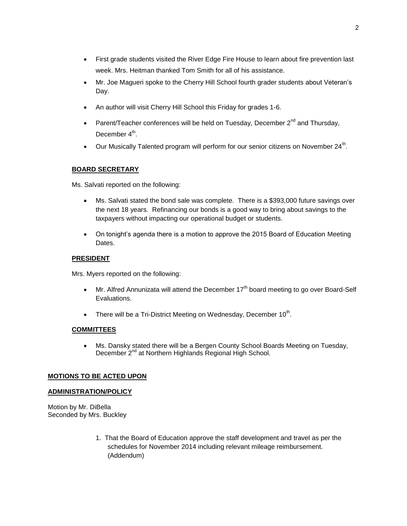- First grade students visited the River Edge Fire House to learn about fire prevention last week. Mrs. Heitman thanked Tom Smith for all of his assistance.
- Mr. Joe Magueri spoke to the Cherry Hill School fourth grader students about Veteran's Day.
- An author will visit Cherry Hill School this Friday for grades 1-6.
- **Parent/Teacher conferences will be held on Tuesday, December**  $2^{nd}$  **and Thursday,** December 4<sup>th</sup>.
- $\bullet$  Our Musically Talented program will perform for our senior citizens on November 24<sup>th</sup>.

# **BOARD SECRETARY**

Ms. Salvati reported on the following:

- Ms. Salvati stated the bond sale was complete. There is a \$393,000 future savings over the next 18 years. Refinancing our bonds is a good way to bring about savings to the taxpayers without impacting our operational budget or students.
- On tonight's agenda there is a motion to approve the 2015 Board of Education Meeting Dates.

## **PRESIDENT**

Mrs. Myers reported on the following:

- $\bullet$  Mr. Alfred Annunizata will attend the December 17<sup>th</sup> board meeting to go over Board-Self Evaluations.
- There will be a Tri-District Meeting on Wednesday, December  $10^{th}$ .

## **COMMITTEES**

 Ms. Dansky stated there will be a Bergen County School Boards Meeting on Tuesday, December 2<sup>nd</sup> at Northern Highlands Regional High School.

## **MOTIONS TO BE ACTED UPON**

## **ADMINISTRATION/POLICY**

Motion by Mr. DiBella Seconded by Mrs. Buckley

> 1. That the Board of Education approve the staff development and travel as per the schedules for November 2014 including relevant mileage reimbursement. (Addendum)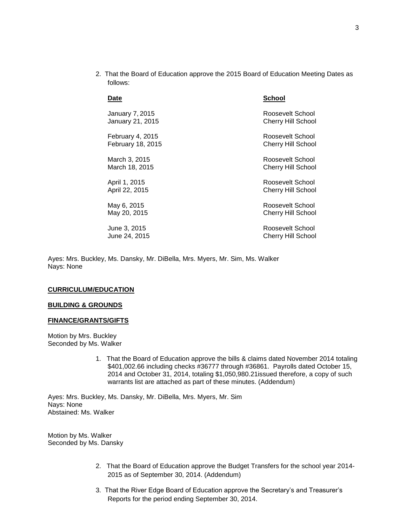2. That the Board of Education approve the 2015 Board of Education Meeting Dates as follows:

| Date                     | School                    |
|--------------------------|---------------------------|
| January 7, 2015          | Roosevelt School          |
| January 21, 2015         | <b>Cherry Hill School</b> |
| February 4, 2015         | Roosevelt School          |
| <b>February 18, 2015</b> | Cherry Hill School        |
| March 3, 2015            | Roosevelt School          |
| March 18, 2015           | Cherry Hill School        |
| April 1, 2015            | Roosevelt School          |
| April 22, 2015           | Cherry Hill School        |
| May 6, 2015              | Roosevelt School          |
| May 20, 2015             | Cherry Hill School        |
| June 3, 2015             | Roosevelt School          |
| June 24, 2015            | Cherry Hill School        |

Ayes: Mrs. Buckley, Ms. Dansky, Mr. DiBella, Mrs. Myers, Mr. Sim, Ms. Walker Nays: None

#### **CURRICULUM/EDUCATION**

#### **BUILDING & GROUNDS**

#### **FINANCE/GRANTS/GIFTS**

Motion by Mrs. Buckley Seconded by Ms. Walker

> 1. That the Board of Education approve the bills & claims dated November 2014 totaling \$401,002.66 including checks #36777 through #36861. Payrolls dated October 15, 2014 and October 31, 2014, totaling \$1,050,980.21issued therefore, a copy of such warrants list are attached as part of these minutes. (Addendum)

Ayes: Mrs. Buckley, Ms. Dansky, Mr. DiBella, Mrs. Myers, Mr. Sim Nays: None Abstained: Ms. Walker

Motion by Ms. Walker Seconded by Ms. Dansky

- 2. That the Board of Education approve the Budget Transfers for the school year 2014- 2015 as of September 30, 2014. (Addendum)
- 3. That the River Edge Board of Education approve the Secretary's and Treasurer's Reports for the period ending September 30, 2014.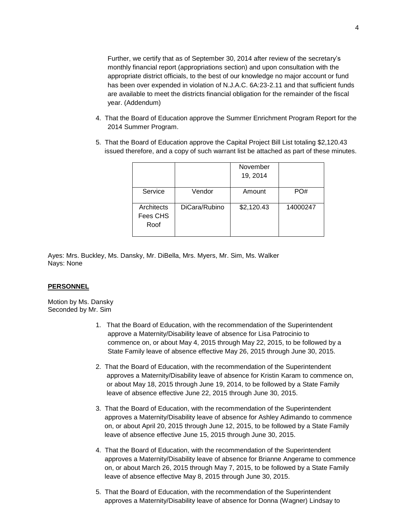Further, we certify that as of September 30, 2014 after review of the secretary's monthly financial report (appropriations section) and upon consultation with the appropriate district officials, to the best of our knowledge no major account or fund has been over expended in violation of N.J.A.C. 6A:23-2.11 and that sufficient funds are available to meet the districts financial obligation for the remainder of the fiscal year. (Addendum)

- 4. That the Board of Education approve the Summer Enrichment Program Report for the 2014 Summer Program.
- 5. That the Board of Education approve the Capital Project Bill List totaling \$2,120.43 issued therefore, and a copy of such warrant list be attached as part of these minutes.

|                                |               | November<br>19, 2014 |          |
|--------------------------------|---------------|----------------------|----------|
| Service                        | Vendor        | Amount               | PO#      |
| Architects<br>Fees CHS<br>Roof | DiCara/Rubino | \$2,120.43           | 14000247 |

Ayes: Mrs. Buckley, Ms. Dansky, Mr. DiBella, Mrs. Myers, Mr. Sim, Ms. Walker Nays: None

## **PERSONNEL**

Motion by Ms. Dansky Seconded by Mr. Sim

- 1. That the Board of Education, with the recommendation of the Superintendent approve a Maternity/Disability leave of absence for Lisa Patrocinio to commence on, or about May 4, 2015 through May 22, 2015, to be followed by a State Family leave of absence effective May 26, 2015 through June 30, 2015.
- 2. That the Board of Education, with the recommendation of the Superintendent approves a Maternity/Disability leave of absence for Kristin Karam to commence on, or about May 18, 2015 through June 19, 2014, to be followed by a State Family leave of absence effective June 22, 2015 through June 30, 2015.
- 3. That the Board of Education, with the recommendation of the Superintendent approves a Maternity/Disability leave of absence for Ashley Adimando to commence on, or about April 20, 2015 through June 12, 2015, to be followed by a State Family leave of absence effective June 15, 2015 through June 30, 2015.
- 4. That the Board of Education, with the recommendation of the Superintendent approves a Maternity/Disability leave of absence for Brianne Angerame to commence on, or about March 26, 2015 through May 7, 2015, to be followed by a State Family leave of absence effective May 8, 2015 through June 30, 2015.
- 5. That the Board of Education, with the recommendation of the Superintendent approves a Maternity/Disability leave of absence for Donna (Wagner) Lindsay to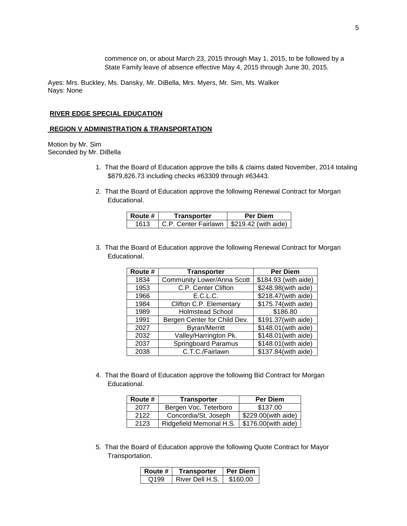commence on, or about March 23, 2015 through May 1, 2015, to be followed by a State Family leave of absence effective May 4, 2015 through June 30, 2015.

Ayes: Mrs. Buckley, Ms. Dansky, Mr. DiBella, Mrs. Myers, Mr. Sim, Ms. Walker Nays: None

#### **RIVER EDGE SPECIAL EDUCATION**

#### **REGION V ADMINISTRATION & TRANSPORTATION**

Motion by Mr. Sim Seconded by Mr. DiBella

- 1. That the Board of Education approve the bills & claims dated November, 2014 totaling \$879,826.73 including checks #63309 through #63443.
- 2. That the Board of Education approve the following Renewal Contract for Morgan Educational.

| l Route # | Transporter                                 | <b>Per Diem</b> |
|-----------|---------------------------------------------|-----------------|
| 1613      | C.P. Center Fairlawn   \$219.42 (with aide) |                 |

3. That the Board of Education approve the following Renewal Contract for Morgan Educational.

| Route # | <b>Transporter</b>                | <b>Per Diem</b>                  |
|---------|-----------------------------------|----------------------------------|
| 1834    | <b>Community Lower/Anna Scott</b> | \$184.93 (with aide)             |
| 1953    | C.P. Center Clifton               | \$248.98(with aide)              |
| 1966    | E.C.L.C.                          | \$218.47(with aide)              |
| 1984    | Clifton C.P. Elementary           | \$175.74(with aide)              |
| 1989    | <b>Holmstead School</b>           | \$186.80                         |
| 1991    | Bergen Center for Child Dev.      | $\overline{$191.37}$ (with aide) |
| 2027    | <b>Byran/Merritt</b>              | \$148.01(with aide)              |
| 2032    | Valley/Harrington Pk.             | \$148.01(with aide)              |
| 2037    | <b>Springboard Paramus</b>        | \$148.01(with aide)              |
| 2038    | C.T.C./Fairlawn                   | \$137.84(with aide)              |

4. That the Board of Education approve the following Bid Contract for Morgan Educational.

| Route # | <b>Transporter</b>       | <b>Per Diem</b>       |
|---------|--------------------------|-----------------------|
| 2077    | Bergen Voc. Teterboro    | \$137.00              |
| 2122    | Concordia/St. Joseph     | \$229.00(with aide)   |
| 2123    | Ridgefield Memorial H.S. | $$176.00$ (with aide) |

5. That the Board of Education approve the following Quote Contract for Mayor Transportation.

| Route #          | Transporter     | <b>Per Diem</b> |
|------------------|-----------------|-----------------|
| Q <sub>199</sub> | River Dell H.S. | \$160.00        |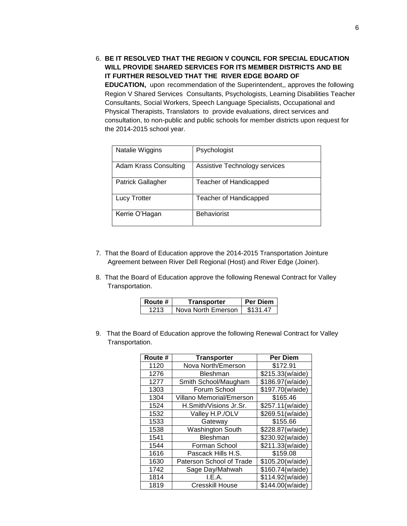6. **BE IT RESOLVED THAT THE REGION V COUNCIL FOR SPECIAL EDUCATION WILL PROVIDE SHARED SERVICES FOR ITS MEMBER DISTRICTS AND BE IT FURTHER RESOLVED THAT THE RIVER EDGE BOARD OF EDUCATION,** upon recommendation of the Superintendent,, approves the following Region V Shared Services Consultants, Psychologists, Learning Disabilities Teacher Consultants, Social Workers, Speech Language Specialists, Occupational and Physical Therapists, Translators to provide evaluations, direct services and consultation, to non-public and public schools for member districts upon request for the 2014-2015 school year.

| Natalie Wiggins          | Psychologist                  |
|--------------------------|-------------------------------|
| Adam Krass Consulting    | Assistive Technology services |
| <b>Patrick Gallagher</b> | Teacher of Handicapped        |
| Lucy Trotter             | Teacher of Handicapped        |
| Kerrie O'Hagan           | <b>Behaviorist</b>            |

- 7. That the Board of Education approve the 2014-2015 Transportation Jointure Agreement between River Dell Regional (Host) and River Edge (Joiner).
- 8. That the Board of Education approve the following Renewal Contract for Valley Transportation.

| Route # | Transporter        | Per Diem |
|---------|--------------------|----------|
| 1213.   | Nova North Emerson | \$131.47 |

9. That the Board of Education approve the following Renewal Contract for Valley Transportation.

| Route # | <b>Transporter</b>       | <b>Per Diem</b>  |
|---------|--------------------------|------------------|
| 1120    | Nova North/Emerson       | \$172.91         |
| 1276    | <b>Bleshman</b>          | \$215.33(w/aide) |
| 1277    | Smith School/Maugham     | \$186.97(w/aide) |
| 1303    | Forum School             | \$197.70(w/aide) |
| 1304    | Villano Memorial/Emerson | \$165.46         |
| 1524    | H.Smith/Visions Jr.Sr.   | \$257.11(w/aide) |
| 1532    | Valley H.P./OLV          | \$269.51(w/aide) |
| 1533    | Gateway                  | \$155.66         |
| 1538    | <b>Washington South</b>  | \$228.87(w/aide) |
| 1541    | Bleshman                 | \$230.92(w/aide) |
| 1544    | Forman School            | \$211.33(w/aide) |
| 1616    | Pascack Hills H.S.       | \$159.08         |
| 1630    | Paterson School of Trade | \$105.20(w/aide) |
| 1742    | Sage Day/Mahwah          | \$160.74(w/aide) |
| 1814    | I.E.A.                   | \$114.92(w/aide) |
| 1819    | Cresskill House          | \$144.00(w/aide) |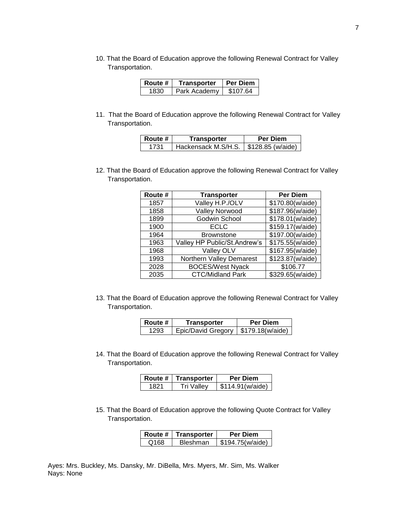10. That the Board of Education approve the following Renewal Contract for Valley Transportation.

| l Route # | Transporter  | <b>Per Diem</b> |
|-----------|--------------|-----------------|
| 1830      | Park Academy | \$107.64        |

11. That the Board of Education approve the following Renewal Contract for Valley Transportation.

| Route # | Transporter                             | <b>Per Diem</b> |
|---------|-----------------------------------------|-----------------|
| 1731    | Hackensack M.S/H.S.   \$128.85 (w/aide) |                 |

12. That the Board of Education approve the following Renewal Contract for Valley Transportation.

| Route # | <b>Transporter</b>           | <b>Per Diem</b>  |
|---------|------------------------------|------------------|
| 1857    | Valley H.P./OLV              | \$170.80(w/aide) |
| 1858    | Valley Norwood               | \$187.96(w/aide) |
| 1899    | Godwin School                | \$178.01(w/aide) |
| 1900    | <b>ECLC</b>                  | \$159.17(w/aide) |
| 1964    | <b>Brownstone</b>            | \$197.00(w/aide) |
| 1963    | Valley HP Public/St.Andrew's | \$175.55(w/aide) |
| 1968    | Valley OLV                   | \$167.95(w/aide) |
| 1993    | Northern Valley Demarest     | \$123.87(w/aide) |
| 2028    | <b>BOCES/West Nyack</b>      | \$106.77         |
| 2035    | CTC/Midland Park             | \$329.65(w/aide) |

13. That the Board of Education approve the following Renewal Contract for Valley Transportation.

| l Route # | Transporter                           | <b>Per Diem</b> |
|-----------|---------------------------------------|-----------------|
| 1293      | Epic/David Gregory   \$179.18(w/aide) |                 |

14. That the Board of Education approve the following Renewal Contract for Valley Transportation.

| Route # | Transporter | Per Diem         |
|---------|-------------|------------------|
| 1821    | Tri Vallev  | \$114.91(w/aide) |

15. That the Board of Education approve the following Quote Contract for Valley Transportation.

|      | Route $#$   Transporter | <b>Per Diem</b>  |
|------|-------------------------|------------------|
| Q168 | <b>Bleshman</b>         | \$194.75(w/aide) |

Ayes: Mrs. Buckley, Ms. Dansky, Mr. DiBella, Mrs. Myers, Mr. Sim, Ms. Walker Nays: None